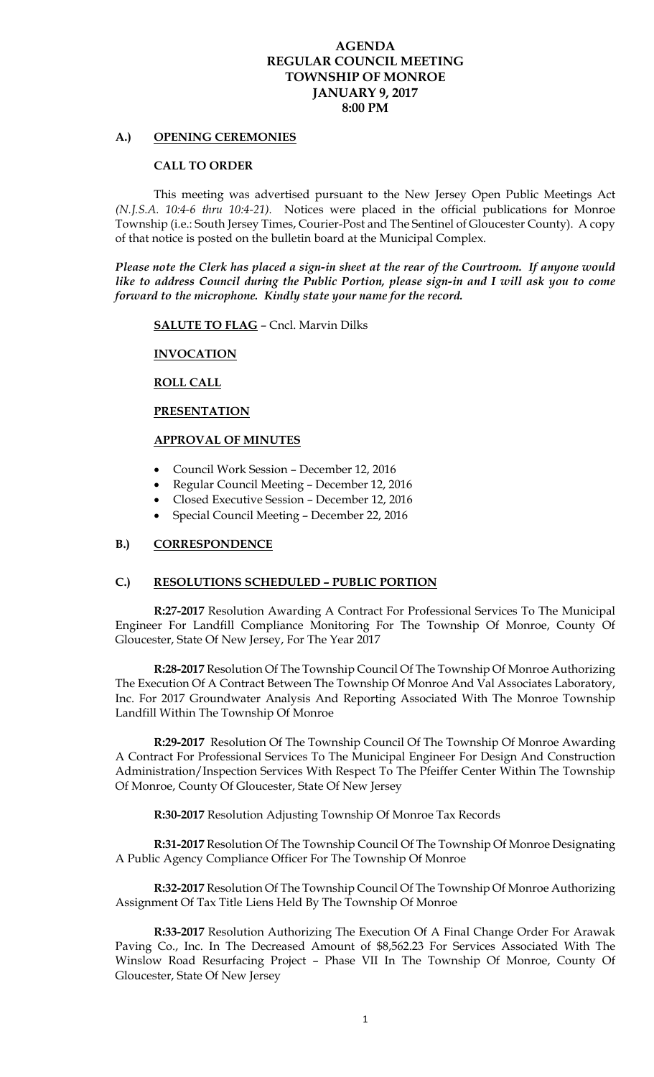# **AGENDA REGULAR COUNCIL MEETING TOWNSHIP OF MONROE JANUARY 9, 2017 8:00 PM**

### **A.) OPENING CEREMONIES**

#### **CALL TO ORDER**

 This meeting was advertised pursuant to the New Jersey Open Public Meetings Act *(N.J.S.A. 10:4-6 thru 10:4-21).* Notices were placed in the official publications for Monroe Township (i.e.: South Jersey Times, Courier-Post and The Sentinel of Gloucester County). A copy of that notice is posted on the bulletin board at the Municipal Complex.

*Please note the Clerk has placed a sign-in sheet at the rear of the Courtroom. If anyone would like to address Council during the Public Portion, please sign-in and I will ask you to come forward to the microphone. Kindly state your name for the record.* 

**SALUTE TO FLAG** – Cncl. Marvin Dilks

### **INVOCATION**

#### **ROLL CALL**

#### **PRESENTATION**

### **APPROVAL OF MINUTES**

- Council Work Session December 12, 2016
- Regular Council Meeting December 12, 2016
- Closed Executive Session December 12, 2016
- Special Council Meeting December 22, 2016

## **B.) CORRESPONDENCE**

### **C.) RESOLUTIONS SCHEDULED – PUBLIC PORTION**

**R:27-2017** Resolution Awarding A Contract For Professional Services To The Municipal Engineer For Landfill Compliance Monitoring For The Township Of Monroe, County Of Gloucester, State Of New Jersey, For The Year 2017

**R:28-2017** Resolution Of The Township Council Of The Township Of Monroe Authorizing The Execution Of A Contract Between The Township Of Monroe And Val Associates Laboratory, Inc. For 2017 Groundwater Analysis And Reporting Associated With The Monroe Township Landfill Within The Township Of Monroe

**R:29-2017** Resolution Of The Township Council Of The Township Of Monroe Awarding A Contract For Professional Services To The Municipal Engineer For Design And Construction Administration/Inspection Services With Respect To The Pfeiffer Center Within The Township Of Monroe, County Of Gloucester, State Of New Jersey

**R:30-2017** Resolution Adjusting Township Of Monroe Tax Records

**R:31-2017** Resolution Of The Township Council Of The Township Of Monroe Designating A Public Agency Compliance Officer For The Township Of Monroe

**R:32-2017** Resolution Of The Township Council Of The Township Of Monroe Authorizing Assignment Of Tax Title Liens Held By The Township Of Monroe

**R:33-2017** Resolution Authorizing The Execution Of A Final Change Order For Arawak Paving Co., Inc. In The Decreased Amount of \$8,562.23 For Services Associated With The Winslow Road Resurfacing Project – Phase VII In The Township Of Monroe, County Of Gloucester, State Of New Jersey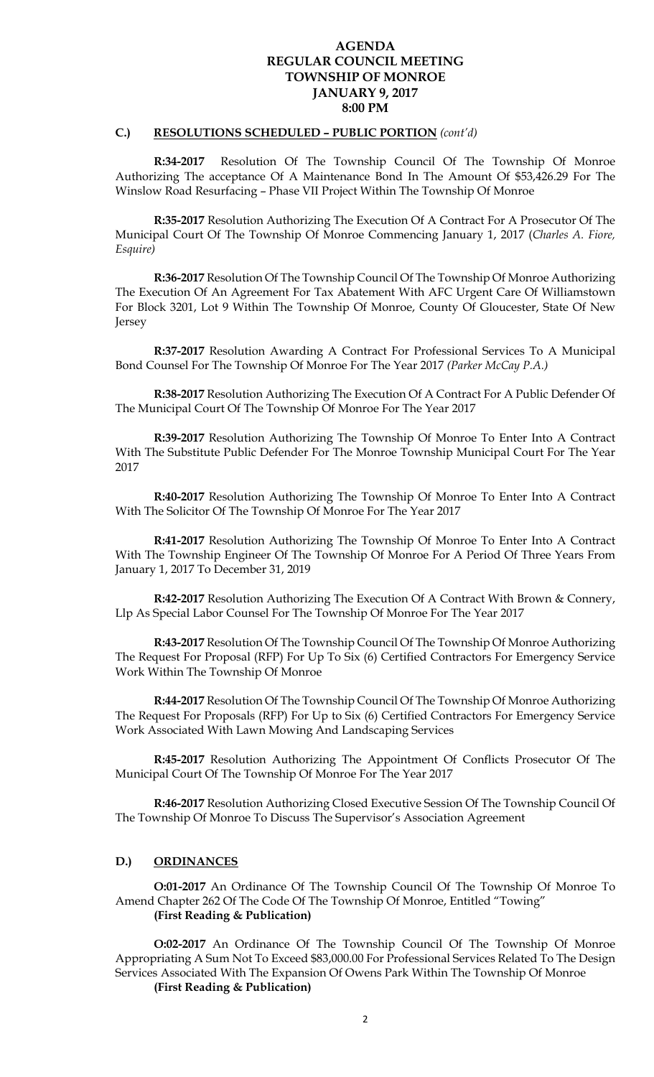# **AGENDA REGULAR COUNCIL MEETING TOWNSHIP OF MONROE JANUARY 9, 2017 8:00 PM**

### **C.) RESOLUTIONS SCHEDULED – PUBLIC PORTION** *(cont'd)*

**R:34-2017** Resolution Of The Township Council Of The Township Of Monroe Authorizing The acceptance Of A Maintenance Bond In The Amount Of \$53,426.29 For The Winslow Road Resurfacing – Phase VII Project Within The Township Of Monroe

**R:35-2017** Resolution Authorizing The Execution Of A Contract For A Prosecutor Of The Municipal Court Of The Township Of Monroe Commencing January 1, 2017 (*Charles A. Fiore, Esquire)* 

**R:36-2017** Resolution Of The Township Council Of The Township Of Monroe Authorizing The Execution Of An Agreement For Tax Abatement With AFC Urgent Care Of Williamstown For Block 3201, Lot 9 Within The Township Of Monroe, County Of Gloucester, State Of New Jersey

**R:37-2017** Resolution Awarding A Contract For Professional Services To A Municipal Bond Counsel For The Township Of Monroe For The Year 2017 *(Parker McCay P.A.)* 

**R:38-2017** Resolution Authorizing The Execution Of A Contract For A Public Defender Of The Municipal Court Of The Township Of Monroe For The Year 2017

**R:39-2017** Resolution Authorizing The Township Of Monroe To Enter Into A Contract With The Substitute Public Defender For The Monroe Township Municipal Court For The Year 2017

**R:40-2017** Resolution Authorizing The Township Of Monroe To Enter Into A Contract With The Solicitor Of The Township Of Monroe For The Year 2017

**R:41-2017** Resolution Authorizing The Township Of Monroe To Enter Into A Contract With The Township Engineer Of The Township Of Monroe For A Period Of Three Years From January 1, 2017 To December 31, 2019

**R:42-2017** Resolution Authorizing The Execution Of A Contract With Brown & Connery, Llp As Special Labor Counsel For The Township Of Monroe For The Year 2017

**R:43-2017** Resolution Of The Township Council Of The Township Of Monroe Authorizing The Request For Proposal (RFP) For Up To Six (6) Certified Contractors For Emergency Service Work Within The Township Of Monroe

**R:44-2017** Resolution Of The Township Council Of The Township Of Monroe Authorizing The Request For Proposals (RFP) For Up to Six (6) Certified Contractors For Emergency Service Work Associated With Lawn Mowing And Landscaping Services

**R:45-2017** Resolution Authorizing The Appointment Of Conflicts Prosecutor Of The Municipal Court Of The Township Of Monroe For The Year 2017

**R:46-2017** Resolution Authorizing Closed Executive Session Of The Township Council Of The Township Of Monroe To Discuss The Supervisor's Association Agreement

### **D.) ORDINANCES**

**O:01-2017** An Ordinance Of The Township Council Of The Township Of Monroe To Amend Chapter 262 Of The Code Of The Township Of Monroe, Entitled "Towing" **(First Reading & Publication)** 

**O:02-2017** An Ordinance Of The Township Council Of The Township Of Monroe Appropriating A Sum Not To Exceed \$83,000.00 For Professional Services Related To The Design Services Associated With The Expansion Of Owens Park Within The Township Of Monroe **(First Reading & Publication)**